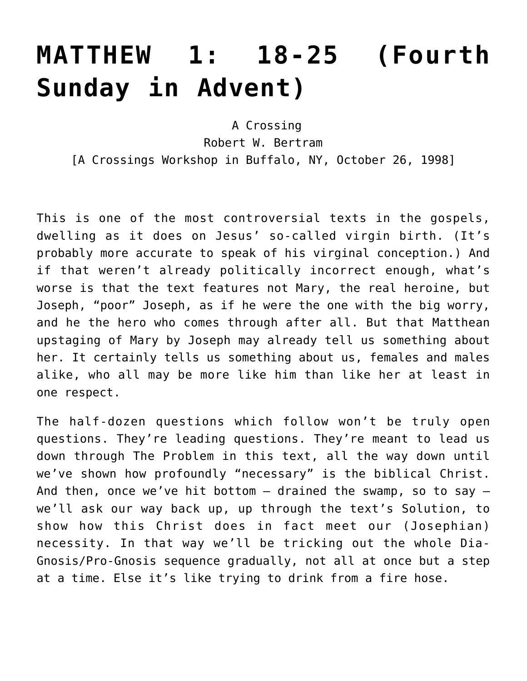# **[MATTHEW 1: 18-25 \(Fourth](https://crossings.org/matthew-1-18-25-fourth-sunday-in-advent/) [Sunday in Advent\)](https://crossings.org/matthew-1-18-25-fourth-sunday-in-advent/)**

 A Crossing Robert W. Bertram [A Crossings Workshop in Buffalo, NY, October 26, 1998]

This is one of the most controversial texts in the gospels, dwelling as it does on Jesus' so-called virgin birth. (It's probably more accurate to speak of his virginal conception.) And if that weren't already politically incorrect enough, what's worse is that the text features not Mary, the real heroine, but Joseph, "poor" Joseph, as if he were the one with the big worry, and he the hero who comes through after all. But that Matthean upstaging of Mary by Joseph may already tell us something about her. It certainly tells us something about us, females and males alike, who all may be more like him than like her at least in one respect.

The half-dozen questions which follow won't be truly open questions. They're leading questions. They're meant to lead us down through The Problem in this text, all the way down until we've shown how profoundly "necessary" is the biblical Christ. And then, once we've hit bottom  $-$  drained the swamp, so to say  $$ we'll ask our way back up, up through the text's Solution, to show how this Christ does in fact meet our (Josephian) necessity. In that way we'll be tricking out the whole Dia-Gnosis/Pro-Gnosis sequence gradually, not all at once but a step at a time. Else it's like trying to drink from a fire hose.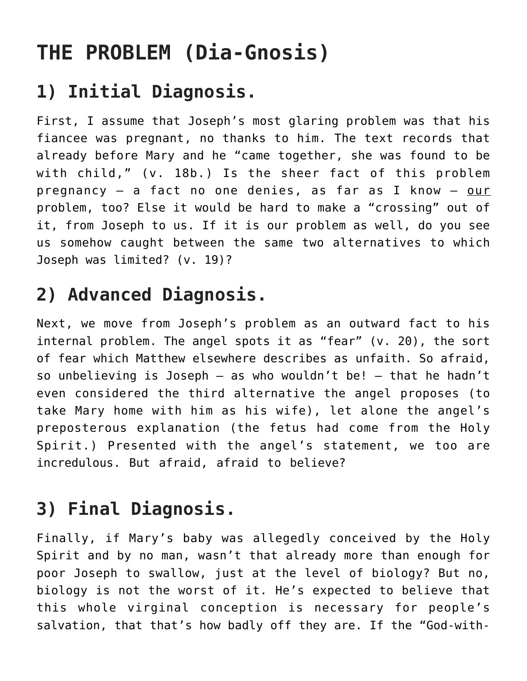## **THE PROBLEM (Dia-Gnosis)**

### **1) Initial Diagnosis.**

First, I assume that Joseph's most glaring problem was that his fiancee was pregnant, no thanks to him. The text records that already before Mary and he "came together, she was found to be with child," (v. 18b.) Is the sheer fact of this problem pregnancy - a fact no one denies, as far as I know - our problem, too? Else it would be hard to make a "crossing" out of it, from Joseph to us. If it is our problem as well, do you see us somehow caught between the same two alternatives to which Joseph was limited? (v. 19)?

### **2) Advanced Diagnosis.**

Next, we move from Joseph's problem as an outward fact to his internal problem. The angel spots it as "fear" (v. 20), the sort of fear which Matthew elsewhere describes as unfaith. So afraid, so unbelieving is Joseph — as who wouldn't be! — that he hadn't even considered the third alternative the angel proposes (to take Mary home with him as his wife), let alone the angel's preposterous explanation (the fetus had come from the Holy Spirit.) Presented with the angel's statement, we too are incredulous. But afraid, afraid to believe?

#### **3) Final Diagnosis.**

Finally, if Mary's baby was allegedly conceived by the Holy Spirit and by no man, wasn't that already more than enough for poor Joseph to swallow, just at the level of biology? But no, biology is not the worst of it. He's expected to believe that this whole virginal conception is necessary for people's salvation, that that's how badly off they are. If the "God-with-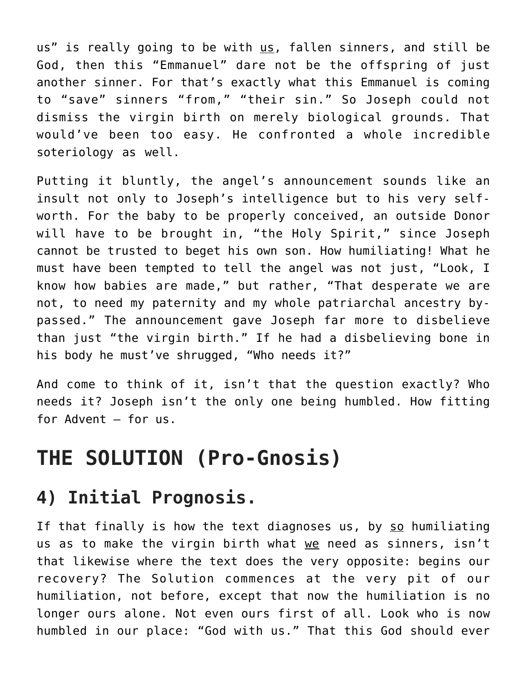us" is really going to be with us, fallen sinners, and still be God, then this "Emmanuel" dare not be the offspring of just another sinner. For that's exactly what this Emmanuel is coming to "save" sinners "from," "their sin." So Joseph could not dismiss the virgin birth on merely biological grounds. That would've been too easy. He confronted a whole incredible soteriology as well.

Putting it bluntly, the angel's announcement sounds like an insult not only to Joseph's intelligence but to his very selfworth. For the baby to be properly conceived, an outside Donor will have to be brought in, "the Holy Spirit," since Joseph cannot be trusted to beget his own son. How humiliating! What he must have been tempted to tell the angel was not just, "Look, I know how babies are made," but rather, "That desperate we are not, to need my paternity and my whole patriarchal ancestry bypassed." The announcement gave Joseph far more to disbelieve than just "the virgin birth." If he had a disbelieving bone in his body he must've shrugged, "Who needs it?"

And come to think of it, isn't that the question exactly? Who needs it? Joseph isn't the only one being humbled. How fitting for Advent – for us.

#### **THE SOLUTION (Pro-Gnosis)**

#### **4) Initial Prognosis.**

If that finally is how the text diagnoses us, by so humiliating us as to make the virgin birth what we need as sinners, isn't that likewise where the text does the very opposite: begins our recovery? The Solution commences at the very pit of our humiliation, not before, except that now the humiliation is no longer ours alone. Not even ours first of all. Look who is now humbled in our place: "God with us." That this God should ever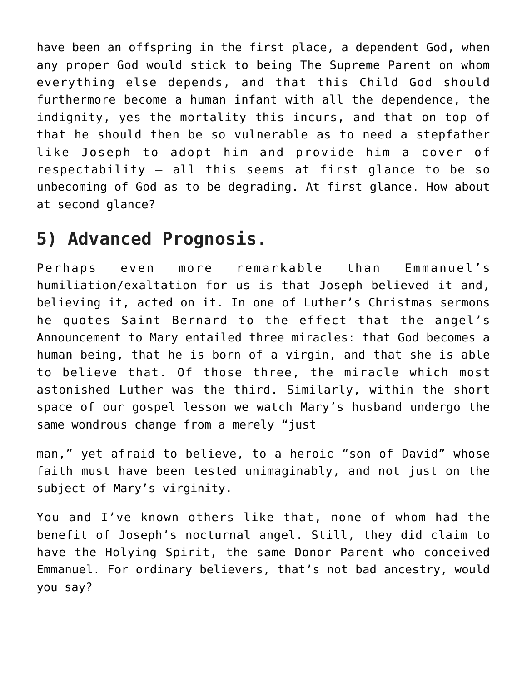have been an offspring in the first place, a dependent God, when any proper God would stick to being The Supreme Parent on whom everything else depends, and that this Child God should furthermore become a human infant with all the dependence, the indignity, yes the mortality this incurs, and that on top of that he should then be so vulnerable as to need a stepfather like Joseph to adopt him and provide him a cover of respectability – all this seems at first glance to be so unbecoming of God as to be degrading. At first glance. How about at second glance?

#### **5) Advanced Prognosis.**

Perhaps even more remarkable than Emmanuel's humiliation/exaltation for us is that Joseph believed it and, believing it, acted on it. In one of Luther's Christmas sermons he quotes Saint Bernard to the effect that the angel's Announcement to Mary entailed three miracles: that God becomes a human being, that he is born of a virgin, and that she is able to believe that. Of those three, the miracle which most astonished Luther was the third. Similarly, within the short space of our gospel lesson we watch Mary's husband undergo the same wondrous change from a merely "just

man," yet afraid to believe, to a heroic "son of David" whose faith must have been tested unimaginably, and not just on the subject of Mary's virginity.

You and I've known others like that, none of whom had the benefit of Joseph's nocturnal angel. Still, they did claim to have the Holying Spirit, the same Donor Parent who conceived Emmanuel. For ordinary believers, that's not bad ancestry, would you say?